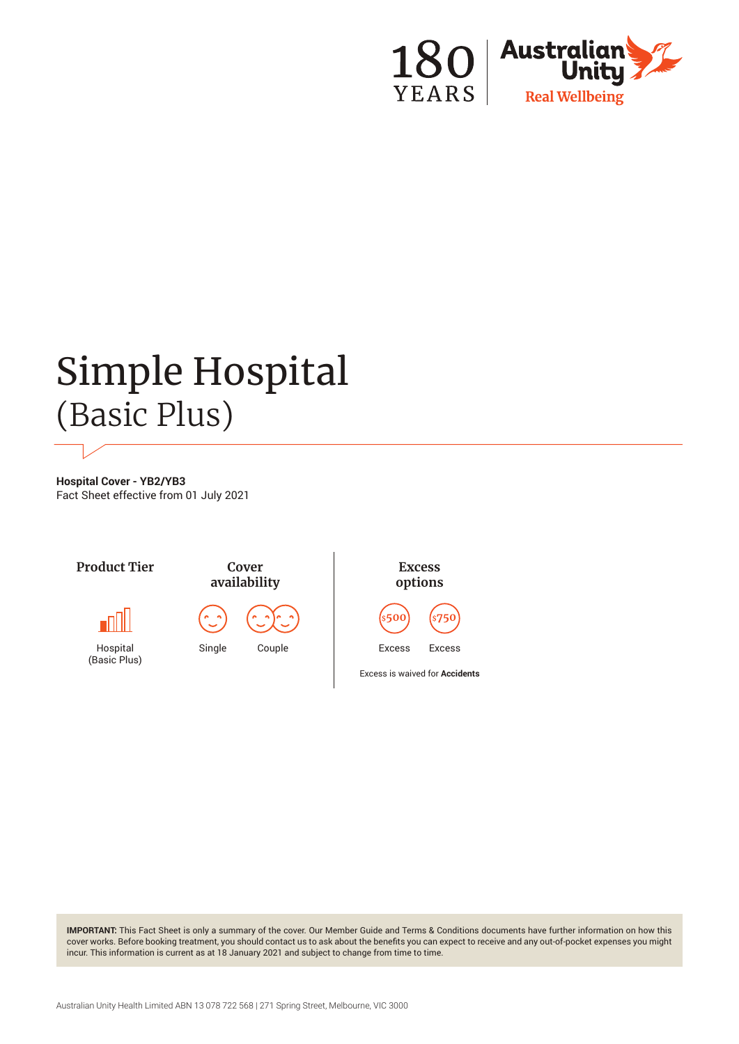

# Simple Hospital (Basic Plus)

**Hospital Cover - YB2/YB3** Fact Sheet effective from 01 July 2021



**IMPORTANT:** This Fact Sheet is only a summary of the cover. Our Member Guide and Terms & Conditions documents have further information on how this cover works. Before booking treatment, you should contact us to ask about the benefits you can expect to receive and any out-of-pocket expenses you might incur. This information is current as at 18 January 2021 and subject to change from time to time.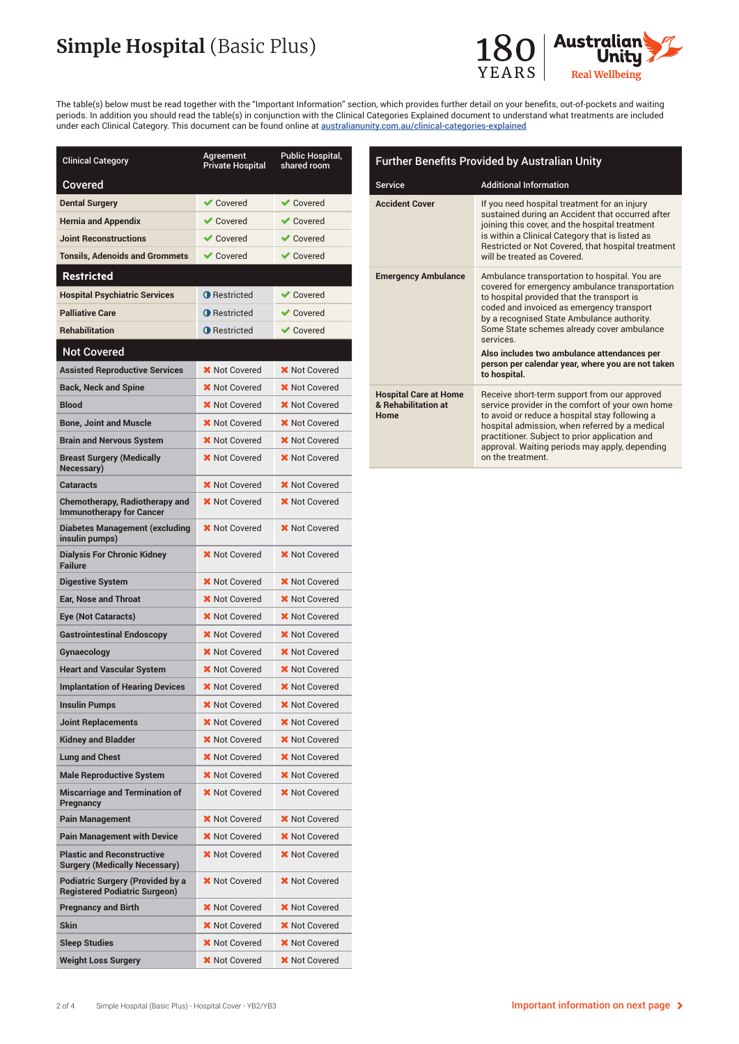# **Simple Hospital** (Basic Plus)



The table(s) below must be read together with the "Important Information" section, which provides further detail on your benefits, out-of-pockets and waiting periods. In addition you should read the table(s) in conjunction with the Clinical Categories Explained document to understand what treatments are included under each Clinical Category. This document can be found online at australianunity.com.au/clinical-categories-explained

| <b>Clinical Category</b>                                                        | Agreement<br><b>Private Hospital</b> | Public Hospital,<br>shared room |
|---------------------------------------------------------------------------------|--------------------------------------|---------------------------------|
| Covered                                                                         |                                      |                                 |
| <b>Dental Surgery</b>                                                           | <b>◆ Covered</b>                     | $\vee$ Covered                  |
| <b>Hernia and Appendix</b>                                                      | $\vee$ Covered                       | $\vee$ Covered                  |
| <b>Joint Reconstructions</b>                                                    | $\vee$ Covered                       | $\vee$ Covered                  |
| <b>Tonsils, Adenoids and Grommets</b>                                           | <b>◆</b> Covered                     | $\vee$ Covered                  |
| <b>Restricted</b>                                                               |                                      |                                 |
| <b>Hospital Psychiatric Services</b>                                            | <b>O</b> Restricted                  | $\vee$ Covered                  |
| <b>Palliative Care</b>                                                          | <b>O</b> Restricted                  | $\vee$ Covered                  |
| <b>Rehabilitation</b>                                                           | <b>O</b> Restricted                  | $\vee$ Covered                  |
| <b>Not Covered</b>                                                              |                                      |                                 |
| <b>Assisted Reproductive Services</b>                                           | <b>X</b> Not Covered                 | <b>X</b> Not Covered            |
| <b>Back, Neck and Spine</b>                                                     | <b>X</b> Not Covered                 | <b>X</b> Not Covered            |
| <b>Blood</b>                                                                    | X Not Covered                        | <b>X</b> Not Covered            |
| <b>Bone, Joint and Muscle</b>                                                   | <b>X</b> Not Covered                 | <b>X</b> Not Covered            |
| <b>Brain and Nervous System</b>                                                 | <b>X</b> Not Covered                 | <b>X</b> Not Covered            |
| <b>Breast Surgery (Medically</b><br>Necessary)                                  | <b>X</b> Not Covered                 | <b>X</b> Not Covered            |
| <b>Cataracts</b>                                                                | <b>X</b> Not Covered                 | <b>X</b> Not Covered            |
| <b>Chemotherapy, Radiotherapy and</b><br><b>Immunotherapy for Cancer</b>        | <b>X</b> Not Covered                 | X Not Covered                   |
| <b>Diabetes Management (excluding</b><br>insulin pumps)                         | <b>X</b> Not Covered                 | <b>X</b> Not Covered            |
| <b>Dialysis For Chronic Kidney</b><br><b>Failure</b>                            | <b>X</b> Not Covered                 | <b>X</b> Not Covered            |
| <b>Digestive System</b>                                                         | <b>X</b> Not Covered                 | <b>X</b> Not Covered            |
| <b>Ear, Nose and Throat</b>                                                     | <b>X</b> Not Covered                 | <b>X</b> Not Covered            |
| Eye (Not Cataracts)                                                             | <b>X</b> Not Covered                 | <b>X</b> Not Covered            |
| <b>Gastrointestinal Endoscopy</b>                                               | <b>X</b> Not Covered                 | <b>X</b> Not Covered            |
| Gynaecology                                                                     | <b>X</b> Not Covered                 | X Not Covered                   |
| <b>Heart and Vascular System</b>                                                | <b>X</b> Not Covered                 | <b>X</b> Not Covered            |
| <b>Implantation of Hearing Devices</b>                                          | <b>X</b> Not Covered                 | <b>X</b> Not Covered            |
| <b>Insulin Pumps</b>                                                            | <b>X</b> Not Covered                 | <b>X</b> Not Covered            |
| <b>Joint Replacements</b>                                                       | <b>X</b> Not Covered                 | <b>X</b> Not Covered            |
| <b>Kidney and Bladder</b>                                                       | X Not Covered                        | <b>X</b> Not Covered            |
| <b>Lung and Chest</b>                                                           | <b>X</b> Not Covered                 | X Not Covered                   |
| <b>Male Reproductive System</b>                                                 | <b>X</b> Not Covered                 | <b>X</b> Not Covered            |
| <b>Miscarriage and Termination of</b><br>Pregnancy                              | X Not Covered                        | X Not Covered                   |
| <b>Pain Management</b>                                                          | X Not Covered                        | X Not Covered                   |
| <b>Pain Management with Device</b>                                              | <b>X</b> Not Covered                 | <b>X</b> Not Covered            |
| <b>Plastic and Reconstructive</b><br><b>Surgery (Medically Necessary)</b>       | <b>X</b> Not Covered                 | <b>X</b> Not Covered            |
| <b>Podiatric Surgery (Provided by a</b><br><b>Registered Podiatric Surgeon)</b> | <b>X</b> Not Covered                 | <b>X</b> Not Covered            |
| <b>Pregnancy and Birth</b>                                                      | <b>X</b> Not Covered                 | <b>X</b> Not Covered            |
| <b>Skin</b>                                                                     | <b>X</b> Not Covered                 | <b>X</b> Not Covered            |
| <b>Sleep Studies</b>                                                            | <b>X</b> Not Covered                 | <b>X</b> Not Covered            |
| <b>Weight Loss Surgery</b>                                                      | <b>X</b> Not Covered                 | <b>X</b> Not Covered            |

| <b>Further Benefits Provided by Australian Unity</b>        |                                                                                                                                                                                                                                                                                                                                                                                                        |  |
|-------------------------------------------------------------|--------------------------------------------------------------------------------------------------------------------------------------------------------------------------------------------------------------------------------------------------------------------------------------------------------------------------------------------------------------------------------------------------------|--|
| <b>Service</b>                                              | <b>Additional Information</b>                                                                                                                                                                                                                                                                                                                                                                          |  |
| <b>Accident Cover</b>                                       | If you need hospital treatment for an injury<br>sustained during an Accident that occurred after<br>joining this cover, and the hospital treatment<br>is within a Clinical Category that is listed as<br>Restricted or Not Covered, that hospital treatment<br>will be treated as Covered.                                                                                                             |  |
| <b>Emergency Ambulance</b>                                  | Ambulance transportation to hospital. You are<br>covered for emergency ambulance transportation<br>to hospital provided that the transport is<br>coded and invoiced as emergency transport<br>by a recognised State Ambulance authority.<br>Some State schemes already cover ambulance<br>services<br>Also includes two ambulance attendances per<br>person per calendar year, where you are not taken |  |
|                                                             | to hospital.                                                                                                                                                                                                                                                                                                                                                                                           |  |
| <b>Hospital Care at Home</b><br>& Rehabilitation at<br>Home | Receive short-term support from our approved<br>service provider in the comfort of your own home<br>to avoid or reduce a hospital stay following a<br>hospital admission, when referred by a medical<br>practitioner. Subject to prior application and<br>approval. Waiting periods may apply, depending<br>on the treatment.                                                                          |  |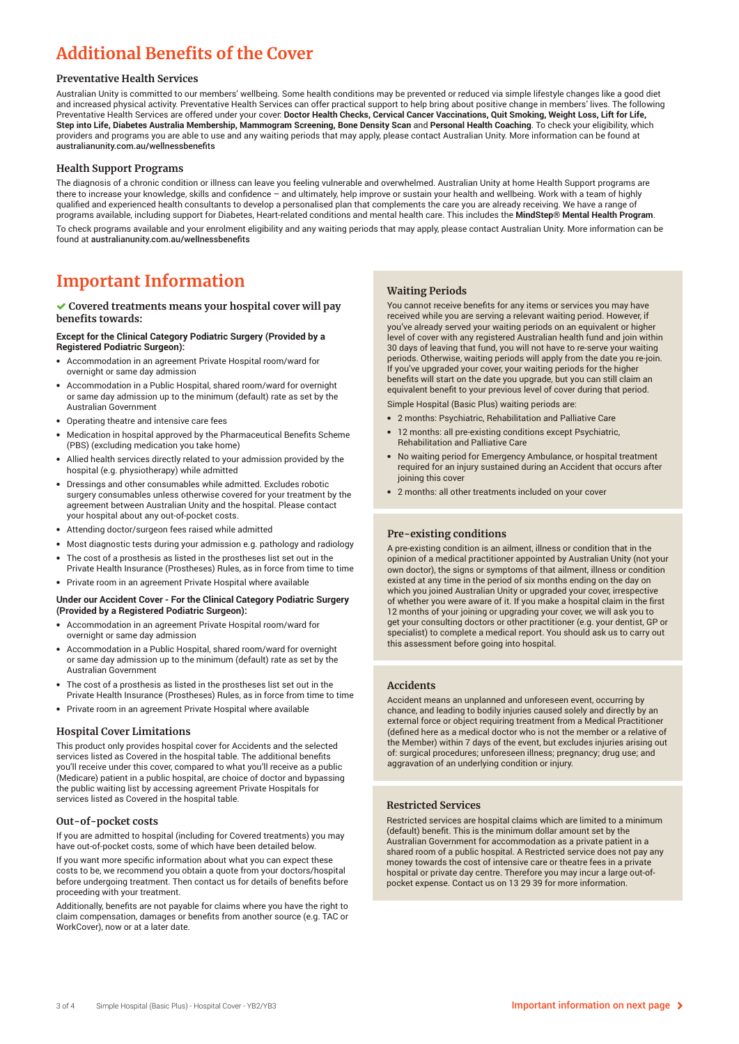## **Additional Benefits of the Cover**

#### **Preventative Health Services**

Australian Unity is committed to our members' wellbeing. Some health conditions may be prevented or reduced via simple lifestyle changes like a good diet and increased physical activity. Preventative Health Services can offer practical support to help bring about positive change in members' lives. The following Preventative Health Services are offered under your cover: **Doctor Health Checks, Cervical Cancer Vaccinations, Quit Smoking, Weight Loss, Lift for Life, Step into Life, Diabetes Australia Membership, Mammogram Screening, Bone Density Scan** and **Personal Health Coaching**. To check your eligibility, which providers and programs you are able to use and any waiting periods that may apply, please contact Australian Unity. More information can be found at australianunity.com.au/wellnessbenefits

#### **Health Support Programs**

The diagnosis of a chronic condition or illness can leave you feeling vulnerable and overwhelmed. Australian Unity at home Health Support programs are there to increase your knowledge, skills and confidence – and ultimately, help improve or sustain your health and wellbeing. Work with a team of highly qualified and experienced health consultants to develop a personalised plan that complements the care you are already receiving. We have a range of programs available, including support for Diabetes, Heart-related conditions and mental health care. This includes the **MindStep® Mental Health Program**. To check programs available and your enrolment eligibility and any waiting periods that may apply, please contact Australian Unity. More information can be found at australianunity.com.au/wellnessbenefits

### **Important Information**

#### **Covered treatments means your hospital cover will pay benefits towards:**

#### **Except for the Clinical Category Podiatric Surgery (Provided by a Registered Podiatric Surgeon):**

- Accommodation in an agreement Private Hospital room/ward for overnight or same day admission
- Accommodation in a Public Hospital, shared room/ward for overnight or same day admission up to the minimum (default) rate as set by the Australian Government
- Operating theatre and intensive care fees
- Medication in hospital approved by the Pharmaceutical Benefits Scheme (PBS) (excluding medication you take home)
- Allied health services directly related to your admission provided by the hospital (e.g. physiotherapy) while admitted
- Dressings and other consumables while admitted. Excludes robotic surgery consumables unless otherwise covered for your treatment by the agreement between Australian Unity and the hospital. Please contact your hospital about any out-of-pocket costs.
- Attending doctor/surgeon fees raised while admitted
- Most diagnostic tests during your admission e.g. pathology and radiology
- The cost of a prosthesis as listed in the prostheses list set out in the
- Private Health Insurance (Prostheses) Rules, as in force from time to time
- Private room in an agreement Private Hospital where available

#### **Under our Accident Cover - For the Clinical Category Podiatric Surgery (Provided by a Registered Podiatric Surgeon):**

- Accommodation in an agreement Private Hospital room/ward for overnight or same day admission
- Accommodation in a Public Hospital, shared room/ward for overnight or same day admission up to the minimum (default) rate as set by the Australian Government
- The cost of a prosthesis as listed in the prostheses list set out in the Private Health Insurance (Prostheses) Rules, as in force from time to time
- Private room in an agreement Private Hospital where available

#### **Hospital Cover Limitations**

This product only provides hospital cover for Accidents and the selected services listed as Covered in the hospital table. The additional benefits you'll receive under this cover, compared to what you'll receive as a public (Medicare) patient in a public hospital, are choice of doctor and bypassing the public waiting list by accessing agreement Private Hospitals for services listed as Covered in the hospital table.

#### **Out-of-pocket costs**

If you are admitted to hospital (including for Covered treatments) you may have out-of-pocket costs, some of which have been detailed below.

If you want more specific information about what you can expect these costs to be, we recommend you obtain a quote from your doctors/hospital before undergoing treatment. Then contact us for details of benefits before proceeding with your treatment.

Additionally, benefits are not payable for claims where you have the right to claim compensation, damages or benefits from another source (e.g. TAC or WorkCover), now or at a later date.

#### **Waiting Periods**

You cannot receive benefits for any items or services you may have received while you are serving a relevant waiting period. However, if you've already served your waiting periods on an equivalent or higher level of cover with any registered Australian health fund and join within 30 days of leaving that fund, you will not have to re-serve your waiting periods. Otherwise, waiting periods will apply from the date you re-join. If you've upgraded your cover, your waiting periods for the higher benefits will start on the date you upgrade, but you can still claim an equivalent benefit to your previous level of cover during that period.

Simple Hospital (Basic Plus) waiting periods are:

- 2 months: Psychiatric, Rehabilitation and Palliative Care
- 12 months: all pre-existing conditions except Psychiatric, Rehabilitation and Palliative Care
- No waiting period for Emergency Ambulance, or hospital treatment required for an injury sustained during an Accident that occurs after joining this cover
- 2 months: all other treatments included on your cover

#### **Pre-existing conditions**

A pre-existing condition is an ailment, illness or condition that in the opinion of a medical practitioner appointed by Australian Unity (not your own doctor), the signs or symptoms of that ailment, illness or condition existed at any time in the period of six months ending on the day on which you joined Australian Unity or upgraded your cover, irrespective of whether you were aware of it. If you make a hospital claim in the first 12 months of your joining or upgrading your cover, we will ask you to get your consulting doctors or other practitioner (e.g. your dentist, GP or specialist) to complete a medical report. You should ask us to carry out this assessment before going into hospital.

#### **Accidents**

Accident means an unplanned and unforeseen event, occurring by chance, and leading to bodily injuries caused solely and directly by an external force or object requiring treatment from a Medical Practitioner (defined here as a medical doctor who is not the member or a relative of the Member) within 7 days of the event, but excludes injuries arising out of: surgical procedures; unforeseen illness; pregnancy; drug use; and aggravation of an underlying condition or injury.

#### **Restricted Services**

Restricted services are hospital claims which are limited to a minimum (default) benefit. This is the minimum dollar amount set by the Australian Government for accommodation as a private patient in a shared room of a public hospital. A Restricted service does not pay any money towards the cost of intensive care or theatre fees in a private hospital or private day centre. Therefore you may incur a large out-ofpocket expense. Contact us on 13 29 39 for more information.